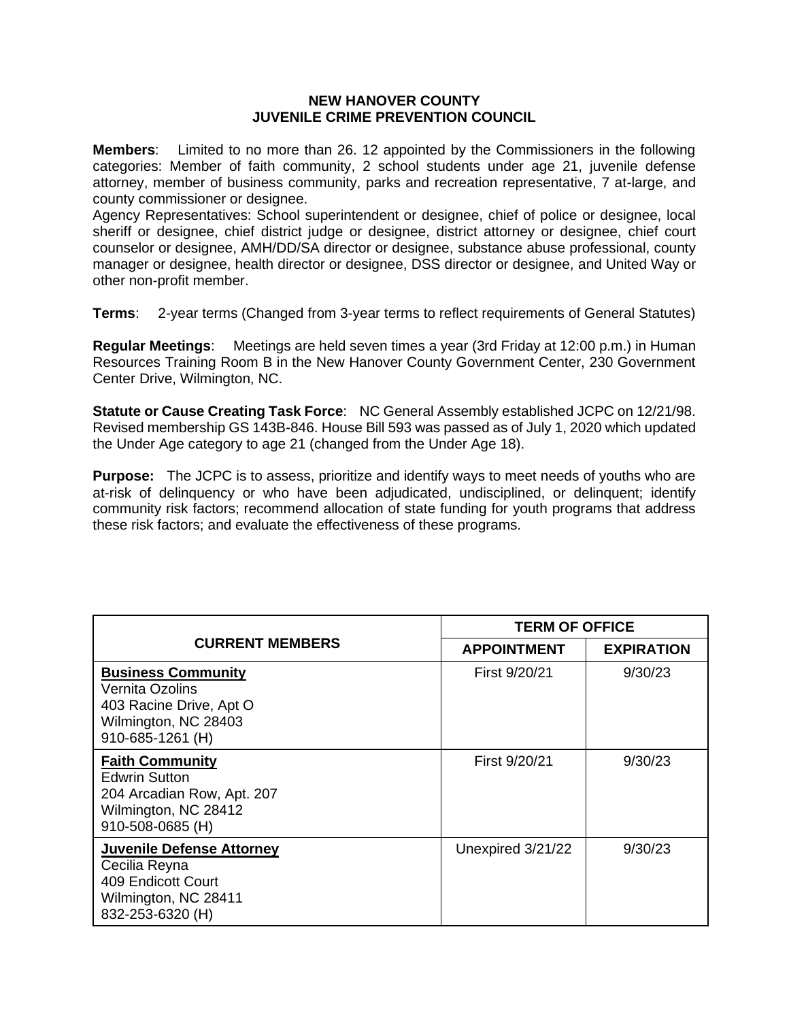## **NEW HANOVER COUNTY JUVENILE CRIME PREVENTION COUNCIL**

**Members**: Limited to no more than 26. 12 appointed by the Commissioners in the following categories: Member of faith community, 2 school students under age 21, juvenile defense attorney, member of business community, parks and recreation representative, 7 at-large, and county commissioner or designee.

Agency Representatives: School superintendent or designee, chief of police or designee, local sheriff or designee, chief district judge or designee, district attorney or designee, chief court counselor or designee, AMH/DD/SA director or designee, substance abuse professional, county manager or designee, health director or designee, DSS director or designee, and United Way or other non-profit member.

**Terms**: 2-year terms (Changed from 3-year terms to reflect requirements of General Statutes)

**Regular Meetings**: Meetings are held seven times a year (3rd Friday at 12:00 p.m.) in Human Resources Training Room B in the New Hanover County Government Center, 230 Government Center Drive, Wilmington, NC.

**Statute or Cause Creating Task Force**: NC General Assembly established JCPC on 12/21/98. Revised membership GS 143B-846. House Bill 593 was passed as of July 1, 2020 which updated the Under Age category to age 21 (changed from the Under Age 18).

**Purpose:** The JCPC is to assess, prioritize and identify ways to meet needs of youths who are at-risk of delinquency or who have been adjudicated, undisciplined, or delinquent; identify community risk factors; recommend allocation of state funding for youth programs that address these risk factors; and evaluate the effectiveness of these programs.

| <b>CURRENT MEMBERS</b>                                                                                                   | <b>TERM OF OFFICE</b> |                   |
|--------------------------------------------------------------------------------------------------------------------------|-----------------------|-------------------|
|                                                                                                                          | <b>APPOINTMENT</b>    | <b>EXPIRATION</b> |
| <b>Business Community</b><br>Vernita Ozolins<br>403 Racine Drive, Apt O<br>Wilmington, NC 28403<br>910-685-1261 (H)      | First 9/20/21         | 9/30/23           |
| <b>Faith Community</b><br><b>Edwrin Sutton</b><br>204 Arcadian Row, Apt. 207<br>Wilmington, NC 28412<br>910-508-0685 (H) | First 9/20/21         | 9/30/23           |
| <b>Juvenile Defense Attorney</b><br>Cecilia Reyna<br>409 Endicott Court<br>Wilmington, NC 28411<br>832-253-6320 (H)      | Unexpired 3/21/22     | 9/30/23           |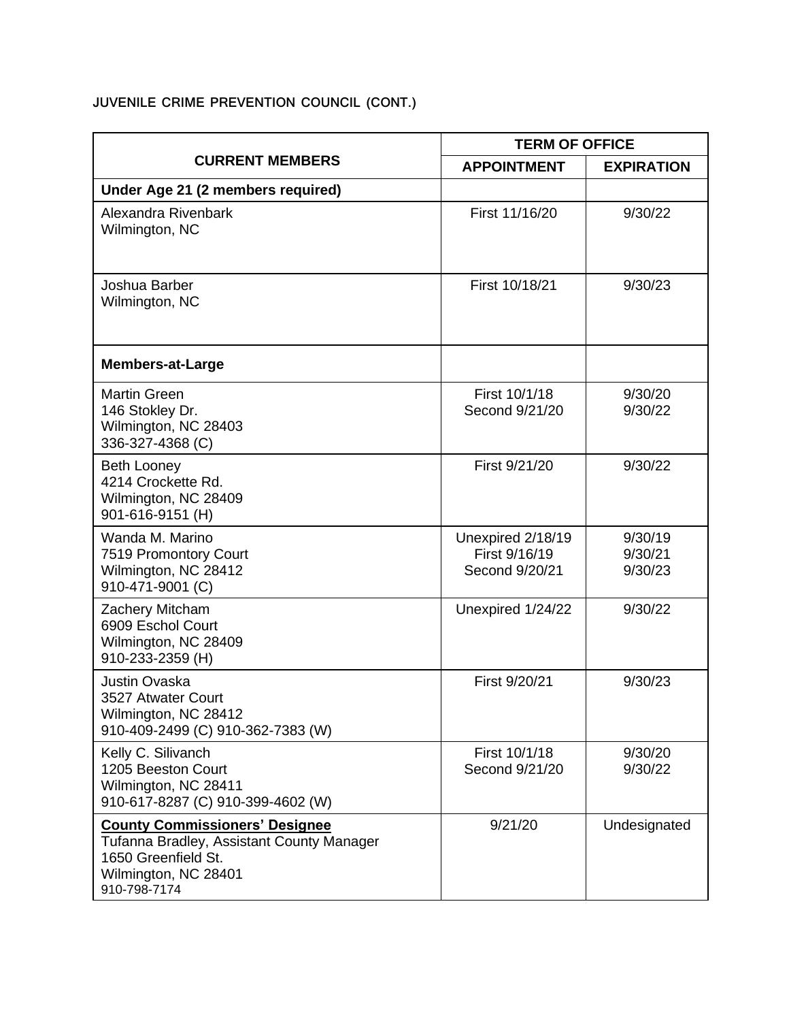## **JUVENILE CRIME PREVENTION COUNCIL (CONT.)**

| <b>CURRENT MEMBERS</b>                                                                                                                            | <b>TERM OF OFFICE</b>                                |                               |
|---------------------------------------------------------------------------------------------------------------------------------------------------|------------------------------------------------------|-------------------------------|
|                                                                                                                                                   | <b>APPOINTMENT</b>                                   | <b>EXPIRATION</b>             |
| Under Age 21 (2 members required)                                                                                                                 |                                                      |                               |
| Alexandra Rivenbark<br>Wilmington, NC                                                                                                             | First 11/16/20                                       | 9/30/22                       |
| Joshua Barber<br>Wilmington, NC                                                                                                                   | First 10/18/21                                       | 9/30/23                       |
| <b>Members-at-Large</b>                                                                                                                           |                                                      |                               |
| <b>Martin Green</b><br>146 Stokley Dr.<br>Wilmington, NC 28403<br>336-327-4368 (C)                                                                | First 10/1/18<br>Second 9/21/20                      | 9/30/20<br>9/30/22            |
| <b>Beth Looney</b><br>4214 Crockette Rd.<br>Wilmington, NC 28409<br>901-616-9151 (H)                                                              | First 9/21/20                                        | 9/30/22                       |
| Wanda M. Marino<br>7519 Promontory Court<br>Wilmington, NC 28412<br>910-471-9001 (C)                                                              | Unexpired 2/18/19<br>First 9/16/19<br>Second 9/20/21 | 9/30/19<br>9/30/21<br>9/30/23 |
| Zachery Mitcham<br>6909 Eschol Court<br>Wilmington, NC 28409<br>910-233-2359 (H)                                                                  | Unexpired 1/24/22                                    | 9/30/22                       |
| <b>Justin Ovaska</b><br>3527 Atwater Court<br>Wilmington, NC 28412<br>910-409-2499 (C) 910-362-7383 (W)                                           | First 9/20/21                                        | 9/30/23                       |
| Kelly C. Silivanch<br>1205 Beeston Court<br>Wilmington, NC 28411<br>910-617-8287 (C) 910-399-4602 (W)                                             | First 10/1/18<br>Second 9/21/20                      | 9/30/20<br>9/30/22            |
| <b>County Commissioners' Designee</b><br>Tufanna Bradley, Assistant County Manager<br>1650 Greenfield St.<br>Wilmington, NC 28401<br>910-798-7174 | 9/21/20                                              | Undesignated                  |